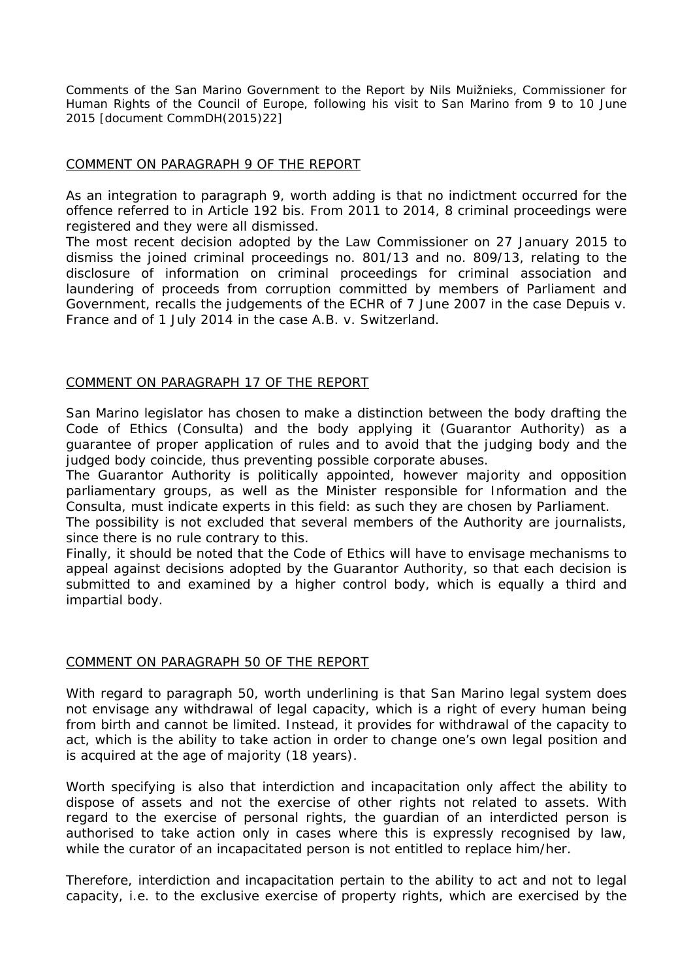*Comments of the San Marino Government to the Report by Nils Muižnieks, Commissioner for Human Rights of the Council of Europe, following his visit to San Marino from 9 to 10 June 2015 [document CommDH(2015)22]*

## COMMENT ON PARAGRAPH 9 OF THE REPORT

As an integration to paragraph 9, worth adding is that no indictment occurred for the offence referred to in Article 192 bis. From 2011 to 2014, 8 criminal proceedings were registered and they were all dismissed.

The most recent decision adopted by the Law Commissioner on 27 January 2015 to dismiss the joined criminal proceedings no. 801/13 and no. 809/13, relating to the disclosure of information on criminal proceedings for criminal association and laundering of proceeds from corruption committed by members of Parliament and Government, recalls the judgements of the ECHR of 7 June 2007 in the case Depuis v. France and of 1 July 2014 in the case A.B. v. Switzerland.

## COMMENT ON PARAGRAPH 17 OF THE REPORT

San Marino legislator has chosen to make a distinction between the body drafting the Code of Ethics (*Consulta*) and the body applying it (Guarantor Authority) as a guarantee of proper application of rules and to avoid that the judging body and the judged body coincide, thus preventing possible corporate abuses.

The Guarantor Authority is politically appointed, however majority and opposition parliamentary groups, as well as the Minister responsible for Information and the *Consulta*, must indicate experts in this field: as such they are chosen by Parliament.

The possibility is not excluded that several members of the Authority are journalists, since there is no rule contrary to this.

Finally, it should be noted that the Code of Ethics will have to envisage mechanisms to appeal against decisions adopted by the Guarantor Authority, so that each decision is submitted to and examined by a higher control body, which is equally a third and impartial body.

## COMMENT ON PARAGRAPH 50 OF THE REPORT

With regard to paragraph 50, worth underlining is that San Marino legal system does not envisage any withdrawal of legal capacity, which is a right of every human being from birth and cannot be limited. Instead, it provides for withdrawal of the capacity to act, which is the ability to take action in order to change one's own legal position and is acquired at the age of majority (18 years).

Worth specifying is also that interdiction and incapacitation only affect the ability to dispose of assets and not the exercise of other rights not related to assets. With regard to the exercise of personal rights, the guardian of an interdicted person is authorised to take action only in cases where this is expressly recognised by law, while the curator of an incapacitated person is not entitled to replace him/her.

Therefore, interdiction and incapacitation pertain to the ability to act and not to legal capacity, i.e. to the exclusive exercise of property rights, which are exercised by the